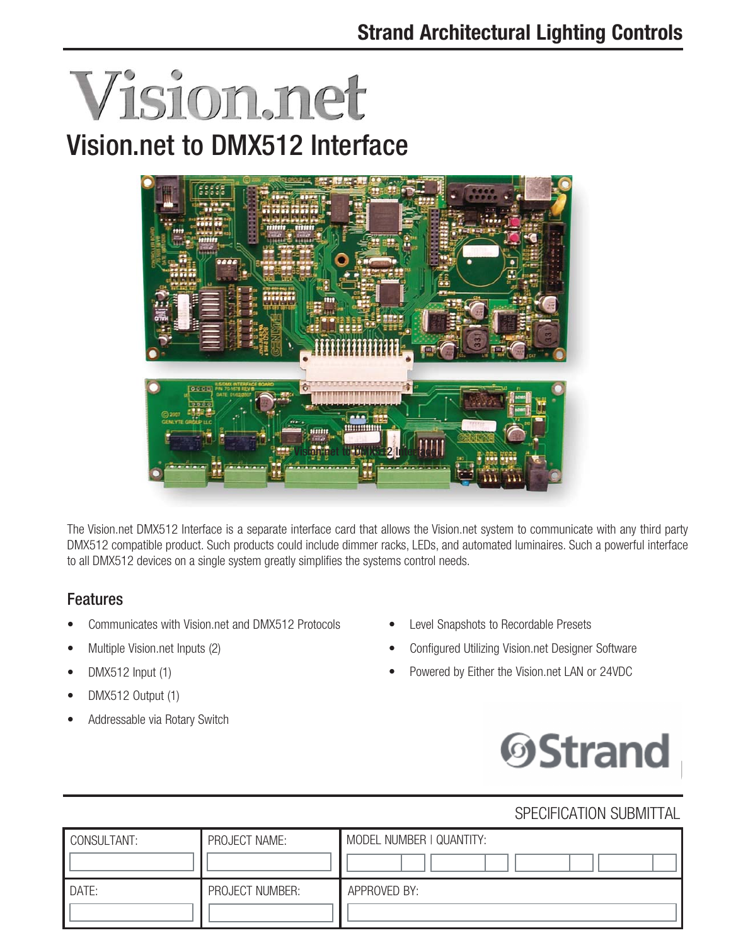# Vision.net Vision.net to DMX512 Interface



The Vision.net DMX512 Interface is a separate interface card that allows the Vision.net system to communicate with any third party DMX512 compatible product. Such products could include dimmer racks, LEDs, and automated luminaires. Such a powerful interface to all DMX512 devices on a single system greatly simplifies the systems control needs.

# **Features**

- Communicates with Vision.net and DMX512 Protocols
- Multiple Vision.net Inputs (2)
- DMX512 Input (1)
- DMX512 Output (1)
- Addressable via Rotary Switch
- Level Snapshots to Recordable Presets
- Configured Utilizing Vision.net Designer Software
- Powered by Either the Vision.net LAN or 24VDC



### SPECIFICATION SUBMITTAL

| CONSULTANT: | PROJECT NAME:   | MODEL NUMBER   QUANTITY: |  |
|-------------|-----------------|--------------------------|--|
|             |                 |                          |  |
| DATE:       | PROJECT NUMBER: | APPROVED BY:             |  |
|             |                 |                          |  |